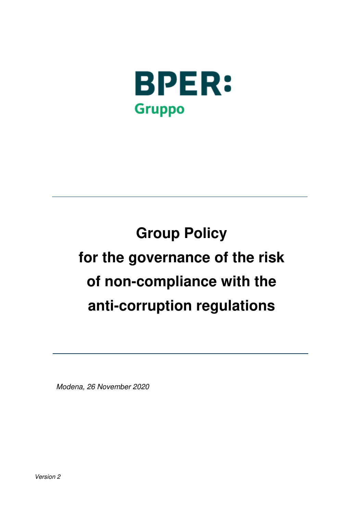

# **Group Policy for the governance of the risk of non-compliance with the anti-corruption regulations**

Modena, 26 November 2020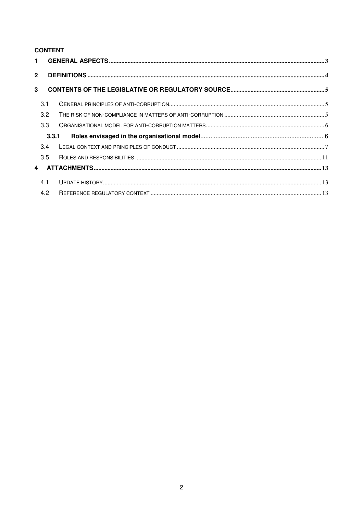# **CONTENT**

| $\overline{2}$ |       |  |  |  |
|----------------|-------|--|--|--|
| 3              |       |  |  |  |
|                | 3.1   |  |  |  |
|                | 3.2   |  |  |  |
|                | 3.3   |  |  |  |
|                | 3.3.1 |  |  |  |
|                | 3.4   |  |  |  |
|                | 3.5   |  |  |  |
| 4              |       |  |  |  |
|                | 4.1   |  |  |  |
|                | 4.2   |  |  |  |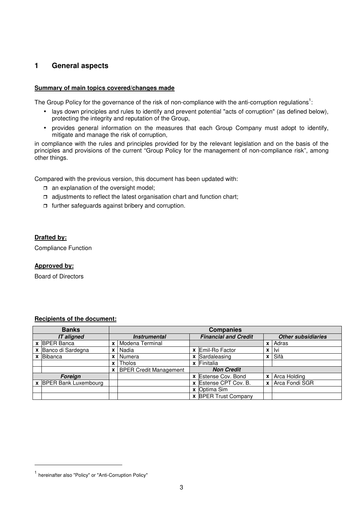# **1 General aspects**

#### **Summary of main topics covered/changes made**

The Group Policy for the governance of the risk of non-compliance with the anti-corruption regulations<sup>1</sup>:

- lays down principles and rules to identify and prevent potential "acts of corruption" (as defined below), protecting the integrity and reputation of the Group,
- provides general information on the measures that each Group Company must adopt to identify, mitigate and manage the risk of corruption,

in compliance with the rules and principles provided for by the relevant legislation and on the basis of the principles and provisions of the current "Group Policy for the management of non-compliance risk", among other things.

Compared with the previous version, this document has been updated with:

- $\Box$  an explanation of the oversight model;
- $\Box$  adjustments to reflect the latest organisation chart and function chart;
- $\Box$  further safeguards against bribery and corruption.

#### **Drafted by:**

Compliance Function

#### **Approved by:**

Board of Directors

#### **Banks**<br> **Banks**<br> **Companies**<br> **Companies**<br> **Companies**<br> **Companies**<br> **Companies**<br> **Companies**<br> **Companies**<br> **Companies IT aligned Instrumental Financial and Credit Other subsidiaries x BPER Banca x X Modena Terminal x Adras x** | Modena Terminal **x** | Adras **x** | Nadia **x** | Nadia **x** | Nadia **x** | Nadia **x** | Nadia **x** | Nadia **x** | Nadia **x** | Nadia **x** | Nadia **x** | Nadia **x** | Nadia **x** | Nadia **x** | Nadia **x** | Nadia **x** | Nadia **x** | Na **x** Banco di Sardegna **x** Nadia **x** Emil-Ro Factor **x** Ivi **x** Sardaleasing<br> **x** Sardaleasing<br> **x** Finitalia **x** Tholos **x x** Finitalia<br>**x** BPER Credit Management **X Non Credit x** BPER Credit Management **Foreign x** Estense Cov. Bond **x** Arca Holding **x** BPER Bank Luxembourg **x x x** Estense CPT Cov. B. **x** Arca Fondi SGR **x** Estense CPT Cov. B.<br>**x** Optima Sim

**x** BPER Trust Company

#### **Recipients of the document:**

l

<sup>&</sup>lt;sup>1</sup> hereinafter also "Policy" or "Anti-Corruption Policy"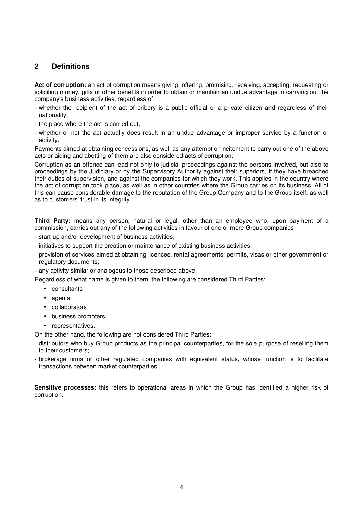# **2 Definitions**

**Act of corruption:** an act of corruption means giving, offering, promising, receiving, accepting, requesting or soliciting money, gifts or other benefits in order to obtain or maintain an undue advantage in carrying out the company's business activities, regardless of:

- whether the recipient of the act of bribery is a public official or a private citizen and regardless of their nationality,
- the place where the act is carried out,
- whether or not the act actually does result in an undue advantage or improper service by a function or activity.

Payments aimed at obtaining concessions, as well as any attempt or incitement to carry out one of the above acts or aiding and abetting of them are also considered acts of corruption.

Corruption as an offence can lead not only to judicial proceedings against the persons involved, but also to proceedings by the Judiciary or by the Supervisory Authority against their superiors, if they have breached their duties of supervision, and against the companies for which they work. This applies in the country where the act of corruption took place, as well as in other countries where the Group carries on its business. All of this can cause considerable damage to the reputation of the Group Company and to the Group itself, as well as to customers' trust in its integrity.

**Third Party:** means any person, natural or legal, other than an employee who, upon payment of a commission, carries out any of the following activities in favour of one or more Group companies:

- start-up and/or development of business activities;
- initiatives to support the creation or maintenance of existing business activities;
- provision of services aimed at obtaining licences, rental agreements, permits, visas or other government or regulatory documents;
- any activity similar or analogous to those described above.

Regardless of what name is given to them, the following are considered Third Parties:

- consultants
- agents
- collaborators
- business promoters
- representatives.

On the other hand, the following are not considered Third Parties:

- distributors who buy Group products as the principal counterparties, for the sole purpose of reselling them to their customers;
- brokerage firms or other regulated companies with equivalent status, whose function is to facilitate transactions between market counterparties.

**Sensitive processes:** this refers to operational areas in which the Group has identified a higher risk of corruption.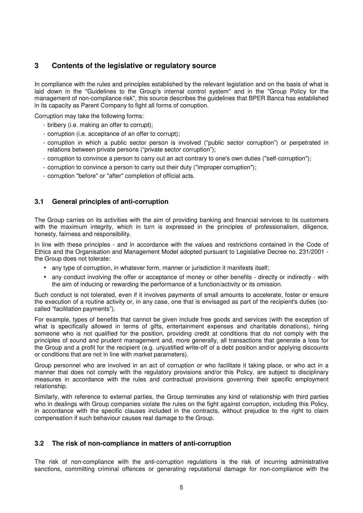# **3 Contents of the legislative or regulatory source**

In compliance with the rules and principles established by the relevant legislation and on the basis of what is laid down in the "Guidelines to the Group's internal control system" and in the "Group Policy for the management of non-compliance risk", this source describes the guidelines that BPER Banca has established in its capacity as Parent Company to fight all forms of corruption.

Corruption may take the following forms:

- bribery (i.e. making an offer to corrupt);
- corruption (i.e. acceptance of an offer to corrupt);
- corruption in which a public sector person is involved ("public sector corruption") or perpetrated in relations between private persons ("private sector corruption");
- corruption to convince a person to carry out an act contrary to one's own duties ("self-corruption");
- corruption to convince a person to carry out their duty ("improper corruption");
- corruption "before" or "after" completion of official acts.

### **3.1 General principles of anti-corruption**

The Group carries on its activities with the aim of providing banking and financial services to its customers with the maximum integrity, which in turn is expressed in the principles of professionalism, diligence, honesty, fairness and responsibility.

In line with these principles - and in accordance with the values and restrictions contained in the Code of Ethics and the Organisation and Management Model adopted pursuant to Legislative Decree no. 231/2001 the Group does not tolerate:

- any type of corruption, in whatever form, manner or jurisdiction it manifests itself;
- any conduct involving the offer or acceptance of money or other benefits directly or indirectly with the aim of inducing or rewarding the performance of a function/activity or its omission.

Such conduct is not tolerated, even if it involves payments of small amounts to accelerate, foster or ensure the execution of a routine activity or, in any case, one that is envisaged as part of the recipient's duties (socalled "facilitation payments").

For example, types of benefits that cannot be given include free goods and services (with the exception of what is specifically allowed in terms of gifts, entertainment expenses and charitable donations), hiring someone who is not qualified for the position, providing credit at conditions that do not comply with the principles of sound and prudent management and, more generally, all transactions that generate a loss for the Group and a profit for the recipient (e.g. unjustified write-off of a debt position and/or applying discounts or conditions that are not in line with market parameters).

Group personnel who are involved in an act of corruption or who facilitate it taking place, or who act in a manner that does not comply with the regulatory provisions and/or this Policy, are subject to disciplinary measures in accordance with the rules and contractual provisions governing their specific employment relationship.

Similarly, with reference to external parties, the Group terminates any kind of relationship with third parties who in dealings with Group companies violate the rules on the fight against corruption, including this Policy, in accordance with the specific clauses included in the contracts, without prejudice to the right to claim compensation if such behaviour causes real damage to the Group.

#### **3.2 The risk of non-compliance in matters of anti-corruption**

The risk of non-compliance with the anti-corruption regulations is the risk of incurring administrative sanctions, committing criminal offences or generating reputational damage for non-compliance with the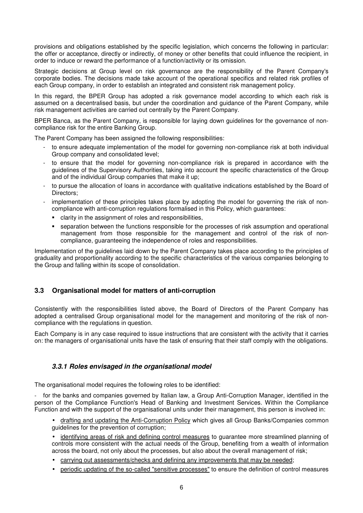provisions and obligations established by the specific legislation, which concerns the following in particular: the offer or acceptance, directly or indirectly, of money or other benefits that could influence the recipient, in order to induce or reward the performance of a function/activity or its omission.

Strategic decisions at Group level on risk governance are the responsibility of the Parent Company's corporate bodies. The decisions made take account of the operational specifics and related risk profiles of each Group company, in order to establish an integrated and consistent risk management policy.

In this regard, the BPER Group has adopted a risk governance model according to which each risk is assumed on a decentralised basis, but under the coordination and guidance of the Parent Company, while risk management activities are carried out centrally by the Parent Company.

BPER Banca, as the Parent Company, is responsible for laying down guidelines for the governance of noncompliance risk for the entire Banking Group.

The Parent Company has been assigned the following responsibilities:

- to ensure adequate implementation of the model for governing non-compliance risk at both individual Group company and consolidated level;
- to ensure that the model for governing non-compliance risk is prepared in accordance with the guidelines of the Supervisory Authorities, taking into account the specific characteristics of the Group and of the individual Group companies that make it up;
- to pursue the allocation of loans in accordance with qualitative indications established by the Board of Directors;
- implementation of these principles takes place by adopting the model for governing the risk of noncompliance with anti-corruption regulations formalised in this Policy, which guarantees:
	- clarity in the assignment of roles and responsibilities,
	- separation between the functions responsible for the processes of risk assumption and operational management from those responsible for the management and control of the risk of noncompliance, guaranteeing the independence of roles and responsibilities.

Implementation of the guidelines laid down by the Parent Company takes place according to the principles of graduality and proportionality according to the specific characteristics of the various companies belonging to the Group and falling within its scope of consolidation.

## **3.3 Organisational model for matters of anti-corruption**

Consistently with the responsibilities listed above, the Board of Directors of the Parent Company has adopted a centralised Group organisational model for the management and monitoring of the risk of noncompliance with the regulations in question.

Each Company is in any case required to issue instructions that are consistent with the activity that it carries on: the managers of organisational units have the task of ensuring that their staff comply with the obligations.

## **3.3.1 Roles envisaged in the organisational model**

The organisational model requires the following roles to be identified:

- for the banks and companies governed by Italian law, a Group Anti-Corruption Manager, identified in the person of the Compliance Function's Head of Banking and Investment Services. Within the Compliance Function and with the support of the organisational units under their management, this person is involved in:

- drafting and updating the Anti-Corruption Policy which gives all Group Banks/Companies common guidelines for the prevention of corruption;
- identifying areas of risk and defining control measures to guarantee more streamlined planning of controls more consistent with the actual needs of the Group, benefiting from a wealth of information across the board, not only about the processes, but also about the overall management of risk;
- carrying out assessments/checks and defining any improvements that may be needed;
- periodic updating of the so-called "sensitive processes" to ensure the definition of control measures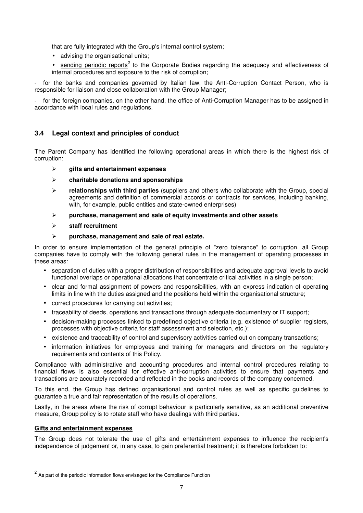that are fully integrated with the Group's internal control system;

- advising the organisational units;
- $\bullet$  sending periodic reports<sup>2</sup> to the Corporate Bodies regarding the adequacy and effectiveness of internal procedures and exposure to the risk of corruption;

for the banks and companies governed by Italian law, the Anti-Corruption Contact Person, who is responsible for liaison and close collaboration with the Group Manager;

- for the foreign companies, on the other hand, the office of Anti-Corruption Manager has to be assigned in accordance with local rules and regulations.

# **3.4 Legal context and principles of conduct**

The Parent Company has identified the following operational areas in which there is the highest risk of corruption:

- **gifts and entertainment expenses**
- **charitable donations and sponsorships**
- **relationships with third parties** (suppliers and others who collaborate with the Group, special agreements and definition of commercial accords or contracts for services, including banking, with, for example, public entities and state-owned enterprises)
- **purchase, management and sale of equity investments and other assets**
- **staff recruitment**
- **purchase, management and sale of real estate.**

In order to ensure implementation of the general principle of "zero tolerance" to corruption, all Group companies have to comply with the following general rules in the management of operating processes in these areas:

- separation of duties with a proper distribution of responsibilities and adequate approval levels to avoid functional overlaps or operational allocations that concentrate critical activities in a single person;
- clear and formal assignment of powers and responsibilities, with an express indication of operating limits in line with the duties assigned and the positions held within the organisational structure;
- correct procedures for carrying out activities;
- traceability of deeds, operations and transactions through adequate documentary or IT support;
- decision-making processes linked to predefined objective criteria (e.g. existence of supplier registers, processes with objective criteria for staff assessment and selection, etc.);
- existence and traceability of control and supervisory activities carried out on company transactions;
- information initiatives for employees and training for managers and directors on the regulatory requirements and contents of this Policy.

Compliance with administrative and accounting procedures and internal control procedures relating to financial flows is also essential for effective anti-corruption activities to ensure that payments and transactions are accurately recorded and reflected in the books and records of the company concerned.

To this end, the Group has defined organisational and control rules as well as specific guidelines to guarantee a true and fair representation of the results of operations.

Lastly, in the areas where the risk of corrupt behaviour is particularly sensitive, as an additional preventive measure, Group policy is to rotate staff who have dealings with third parties.

#### **Gifts and entertainment expenses**

l

The Group does not tolerate the use of gifts and entertainment expenses to influence the recipient's independence of judgement or, in any case, to gain preferential treatment; it is therefore forbidden to:

 $2$  As part of the periodic information flows envisaged for the Compliance Function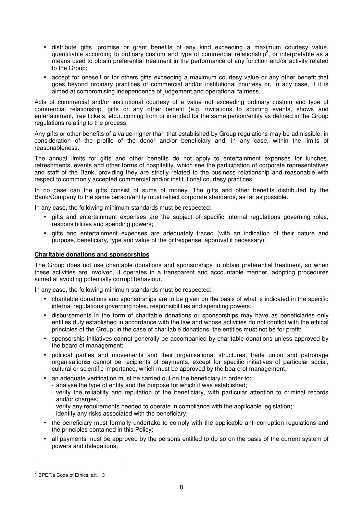- distribute gifts, promise or grant benefits of any kind exceeding a maximum courtesy value, quantifiable according to ordinary custom and type of commercial relationship<sup>3</sup>, or interpretable as a means used to obtain preferential treatment in the performance of any function and/or activity related to the Group;
- accept for oneself or for others gifts exceeding a maximum courtesy value or any other benefit that goes beyond ordinary practices of commercial and/or institutional courtesy or, in any case, if it is aimed at compromising independence of judgement and operational fairness.

Acts of commercial and/or institutional courtesy of a value not exceeding ordinary custom and type of commercial relationship, gifts or any other benefit (e.g. invitations to sporting events, shows and entertainment, free tickets, etc.), coming from or intended for the same person/entity as defined in the Group regulations relating to the process.

Any gifts or other benefits of a value higher than that established by Group regulations may be admissible, in consideration of the profile of the donor and/or beneficiary and, in any case, within the limits of reasonableness.

The annual limits for gifts and other benefits do not apply to entertainment expenses for lunches, refreshments, events and other forms of hospitality, which see the participation of corporate representatives and staff of the Bank, providing they are strictly related to the business relationship and reasonable with respect to commonly accepted commercial and/or institutional courtesy practices.

In no case can the gifts consist of sums of money. The gifts and other benefits distributed by the Bank/Company to the same person/entity must reflect corporate standards, as far as possible.

In any case, the following minimum standards must be respected:

- gifts and entertainment expenses are the subject of specific internal regulations governing roles, responsibilities and spending powers;
- gifts and entertainment expenses are adequately traced (with an indication of their nature and purpose, beneficiary, type and value of the gift/expense, approval if necessary).

#### **Charitable donations and sponsorships**

The Group does not use charitable donations and sponsorships to obtain preferential treatment, so when these activities are involved, it operates in a transparent and accountable manner, adopting procedures aimed at avoiding potentially corrupt behaviour.

In any case, the following minimum standards must be respected:

- charitable donations and sponsorships are to be given on the basis of what is indicated in the specific internal regulations governing roles, responsibilities and spending powers;
- disbursements in the form of charitable donations or sponsorships may have as beneficiaries only entities duly established in accordance with the law and whose activities do not conflict with the ethical principles of the Group; in the case of charitable donations, the entities must not be for profit;
- sponsorship initiatives cannot generally be accompanied by charitable donations unless approved by the board of management;
- political parties and movements and their organisational structures, trade union and patronage organisations<sup>3</sup> cannot be recipients of payments, except for specific initiatives of particular social, cultural or scientific importance, which must be approved by the board of management;
- an adequate verification must be carried out on the beneficiary in order to:
	- analyse the type of entity and the purpose for which it was established;
	- verify the reliability and reputation of the beneficiary, with particular attention to criminal records and/or charges;
	- verify any requirements needed to operate in compliance with the applicable legislation;
	- identify any risks associated with the beneficiary;
- the beneficiary must formally undertake to comply with the applicable anti-corruption regulations and the principles contained in this Policy;
- all payments must be approved by the persons entitled to do so on the basis of the current system of powers and delegations;

l

<sup>&</sup>lt;sup>3</sup> BPER's Code of Ethics, art. 13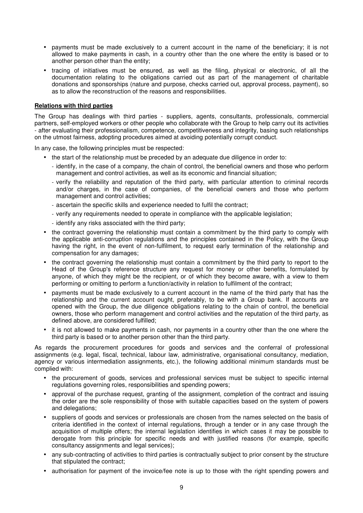- payments must be made exclusively to a current account in the name of the beneficiary; it is not allowed to make payments in cash, in a country other than the one where the entity is based or to another person other than the entity;
- tracing of initiatives must be ensured, as well as the filing, physical or electronic, of all the documentation relating to the obligations carried out as part of the management of charitable donations and sponsorships (nature and purpose, checks carried out, approval process, payment), so as to allow the reconstruction of the reasons and responsibilities.

#### **Relations with third parties**

The Group has dealings with third parties - suppliers, agents, consultants, professionals, commercial partners, self-employed workers or other people who collaborate with the Group to help carry out its activities - after evaluating their professionalism, competence, competitiveness and integrity, basing such relationships on the utmost fairness, adopting procedures aimed at avoiding potentially corrupt conduct.

In any case, the following principles must be respected:

- the start of the relationship must be preceded by an adequate due diligence in order to:
	- identify, in the case of a company, the chain of control, the beneficial owners and those who perform management and control activities, as well as its economic and financial situation;
	- verify the reliability and reputation of the third party, with particular attention to criminal records and/or charges, in the case of companies, of the beneficial owners and those who perform management and control activities;
	- ascertain the specific skills and experience needed to fulfil the contract;
	- verify any requirements needed to operate in compliance with the applicable legislation;
	- identify any risks associated with the third party;
- the contract governing the relationship must contain a commitment by the third party to comply with the applicable anti-corruption regulations and the principles contained in the Policy, with the Group having the right, in the event of non-fulfilment, to request early termination of the relationship and compensation for any damages;
- the contract governing the relationship must contain a commitment by the third party to report to the Head of the Group's reference structure any request for money or other benefits, formulated by anyone, of which they might be the recipient, or of which they become aware, with a view to them performing or omitting to perform a function/activity in relation to fulfilment of the contract;
- payments must be made exclusively to a current account in the name of the third party that has the relationship and the current account ought, preferably, to be with a Group bank. If accounts are opened with the Group, the due diligence obligations relating to the chain of control, the beneficial owners, those who perform management and control activities and the reputation of the third party, as defined above, are considered fulfilled;
- it is not allowed to make payments in cash, nor payments in a country other than the one where the third party is based or to another person other than the third party.

As regards the procurement procedures for goods and services and the conferral of professional assignments (e.g. legal, fiscal, technical, labour law, administrative, organisational consultancy, mediation, agency or various intermediation assignments, etc.), the following additional minimum standards must be complied with:

- the procurement of goods, services and professional services must be subject to specific internal regulations governing roles, responsibilities and spending powers;
- approval of the purchase request, granting of the assignment, completion of the contract and issuing the order are the sole responsibility of those with suitable capacities based on the system of powers and delegations;
- suppliers of goods and services or professionals are chosen from the names selected on the basis of criteria identified in the context of internal regulations, through a tender or in any case through the acquisition of multiple offers; the internal legislation identifies in which cases it may be possible to derogate from this principle for specific needs and with justified reasons (for example, specific consultancy assignments and legal services);
- any sub-contracting of activities to third parties is contractually subject to prior consent by the structure that stipulated the contract;
- authorisation for payment of the invoice/fee note is up to those with the right spending powers and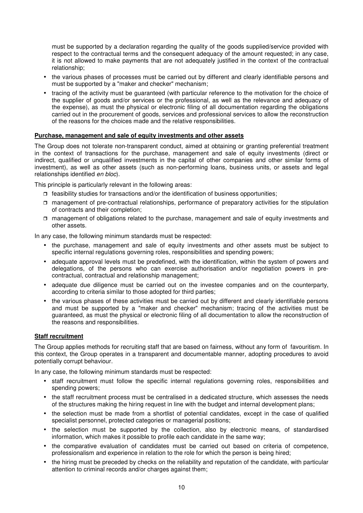must be supported by a declaration regarding the quality of the goods supplied/service provided with respect to the contractual terms and the consequent adequacy of the amount requested; in any case, it is not allowed to make payments that are not adequately justified in the context of the contractual relationship;

- the various phases of processes must be carried out by different and clearly identifiable persons and must be supported by a "maker and checker" mechanism;
- tracing of the activity must be guaranteed (with particular reference to the motivation for the choice of the supplier of goods and/or services or the professional, as well as the relevance and adequacy of the expense), as must the physical or electronic filing of all documentation regarding the obligations carried out in the procurement of goods, services and professional services to allow the reconstruction of the reasons for the choices made and the relative responsibilities.

#### **Purchase, management and sale of equity investments and other assets**

The Group does not tolerate non-transparent conduct, aimed at obtaining or granting preferential treatment in the context of transactions for the purchase, management and sale of equity investments (direct or indirect, qualified or unqualified investments in the capital of other companies and other similar forms of investment), as well as other assets (such as non-performing loans, business units, or assets and legal relationships identified en bloc).

This principle is particularly relevant in the following areas:

- $\Box$  feasibility studies for transactions and/or the identification of business opportunities;
- management of pre-contractual relationships, performance of preparatory activities for the stipulation of contracts and their completion;
- management of obligations related to the purchase, management and sale of equity investments and other assets.

In any case, the following minimum standards must be respected:

- the purchase, management and sale of equity investments and other assets must be subject to specific internal regulations governing roles, responsibilities and spending powers;
- adequate approval levels must be predefined, with the identification, within the system of powers and delegations, of the persons who can exercise authorisation and/or negotiation powers in precontractual, contractual and relationship management;
- adequate due diligence must be carried out on the investee companies and on the counterparty, according to criteria similar to those adopted for third parties;
- the various phases of these activities must be carried out by different and clearly identifiable persons and must be supported by a "maker and checker" mechanism; tracing of the activities must be guaranteed, as must the physical or electronic filing of all documentation to allow the reconstruction of the reasons and responsibilities.

#### **Staff recruitment**

The Group applies methods for recruiting staff that are based on fairness, without any form of favouritism. In this context, the Group operates in a transparent and documentable manner, adopting procedures to avoid potentially corrupt behaviour.

In any case, the following minimum standards must be respected:

- staff recruitment must follow the specific internal regulations governing roles, responsibilities and spending powers;
- the staff recruitment process must be centralised in a dedicated structure, which assesses the needs of the structures making the hiring request in line with the budget and internal development plans;
- the selection must be made from a shortlist of potential candidates, except in the case of qualified specialist personnel, protected categories or managerial positions;
- the selection must be supported by the collection, also by electronic means, of standardised information, which makes it possible to profile each candidate in the same way;
- the comparative evaluation of candidates must be carried out based on criteria of competence, professionalism and experience in relation to the role for which the person is being hired;
- the hiring must be preceded by checks on the reliability and reputation of the candidate, with particular attention to criminal records and/or charges against them;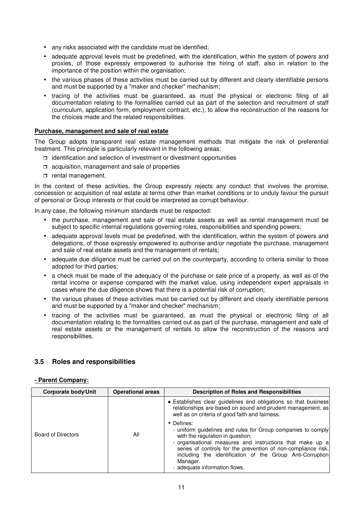- any risks associated with the candidate must be identified;
- adequate approval levels must be predefined, with the identification, within the system of powers and proxies, of those expressly empowered to authorise the hiring of staff, also in relation to the importance of the position within the organisation;
- the various phases of these activities must be carried out by different and clearly identifiable persons and must be supported by a "maker and checker" mechanism;
- tracing of the activities must be guaranteed, as must the physical or electronic filing of all documentation relating to the formalities carried out as part of the selection and recruitment of staff (curriculum, application form, employment contract, etc.), to allow the reconstruction of the reasons for the choices made and the related responsibilities.

#### **Purchase, management and sale of real estate**

The Group adopts transparent real estate management methods that mitigate the risk of preferential treatment. This principle is particularly relevant in the following areas:

- $\Box$  identification and selection of investment or divestment opportunities
- $\Box$  acquisition, management and sale of properties
- $\Box$  rental management.

In the context of these activities, the Group expressly rejects any conduct that involves the promise, concession or acquisition of real estate at terms other than market conditions or to unduly favour the pursuit of personal or Group interests or that could be interpreted as corrupt behaviour.

In any case, the following minimum standards must be respected:

- the purchase, management and sale of real estate assets as well as rental management must be subject to specific internal regulations governing roles, responsibilities and spending powers;
- adequate approval levels must be predefined, with the identification, within the system of powers and delegations, of those expressly empowered to authorise and/or negotiate the purchase, management and sale of real estate assets and the management of rentals;
- adequate due diligence must be carried out on the counterparty, according to criteria similar to those adopted for third parties;
- a check must be made of the adequacy of the purchase or sale price of a property, as well as of the rental income or expense compared with the market value, using independent expert appraisals in cases where the due diligence shows that there is a potential risk of corruption;
- the various phases of these activities must be carried out by different and clearly identifiable persons and must be supported by a "maker and checker" mechanism;
- tracing of the activities must be guaranteed, as must the physical or electronic filing of all documentation relating to the formalities carried out as part of the purchase, management and sale of real estate assets or the management of rentals to allow the reconstruction of the reasons and responsibilities.

#### **3.5 Roles and responsibilities**

#### **- Parent Company:**

| <b>Corporate body/Unit</b> | <b>Operational areas</b> | <b>Description of Roles and Responsibilities</b>                                                                                                                                                                                                                                                                                                       |  |
|----------------------------|--------------------------|--------------------------------------------------------------------------------------------------------------------------------------------------------------------------------------------------------------------------------------------------------------------------------------------------------------------------------------------------------|--|
|                            |                          | • Establishes clear guidelines and obligations so that business<br>relationships are based on sound and prudent management, as<br>well as on criteria of good faith and fairness.                                                                                                                                                                      |  |
| <b>Board of Directors</b>  | All                      | • Defines:<br>- uniform guidelines and rules for Group companies to comply<br>with the regulation in question;<br>- organisational measures and instructions that make up a<br>series of controls for the prevention of non-compliance risk,<br>including the identification of the Group Anti-Corruption<br>Manager.<br>- adequate information flows. |  |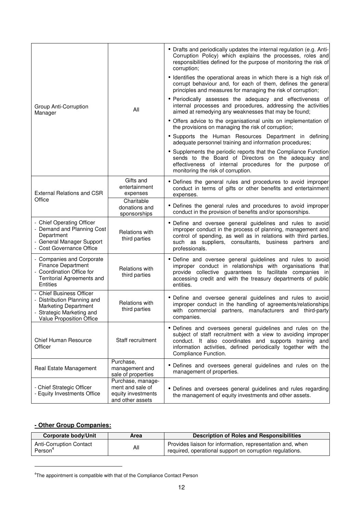|                                                                                                                                                      | All                                         | • Drafts and periodically updates the internal regulation (e.g. Anti-<br>Corruption Policy) which explains the processes, roles and<br>responsibilities defined for the purpose of monitoring the risk of<br>corruption;                                                        |  |  |
|------------------------------------------------------------------------------------------------------------------------------------------------------|---------------------------------------------|---------------------------------------------------------------------------------------------------------------------------------------------------------------------------------------------------------------------------------------------------------------------------------|--|--|
|                                                                                                                                                      |                                             | • Identifies the operational areas in which there is a high risk of<br>corrupt behaviour and, for each of them, defines the general<br>principles and measures for managing the risk of corruption;                                                                             |  |  |
| Group Anti-Corruption<br>Manager                                                                                                                     |                                             | • Periodically assesses the adequacy and effectiveness of<br>internal processes and procedures, addressing the activities<br>aimed at remedying any weaknesses that may be found;                                                                                               |  |  |
|                                                                                                                                                      |                                             | • Offers advice to the organisational units on implementation of<br>the provisions on managing the risk of corruption;                                                                                                                                                          |  |  |
|                                                                                                                                                      |                                             | • Supports the Human Resources Department in defining<br>adequate personnel training and information procedures;                                                                                                                                                                |  |  |
|                                                                                                                                                      |                                             | • Supplements the periodic reports that the Compliance Function<br>sends to the Board of Directors on the adequacy and<br>effectiveness of internal procedures for the purpose of<br>monitoring the risk of corruption.                                                         |  |  |
| <b>External Relations and CSR</b>                                                                                                                    | Gifts and<br>entertainment<br>expenses      | • Defines the general rules and procedures to avoid improper<br>conduct in terms of gifts or other benefits and entertainment<br>expenses.                                                                                                                                      |  |  |
| Office                                                                                                                                               | Charitable<br>donations and<br>sponsorships | • Defines the general rules and procedures to avoid improper<br>conduct in the provision of benefits and/or sponsorships.                                                                                                                                                       |  |  |
| - Chief Operating Officer<br>- Demand and Planning Cost<br>Department<br>- General Manager Support<br>- Cost Governance Office                       | Relations with<br>third parties             | • Define and oversee general guidelines and rules to avoid<br>improper conduct in the process of planning, management and<br>control of spending, as well as in relations with third parties,<br>such as suppliers, consultants, business partners and<br>professionals.        |  |  |
| - Companies and Corporate<br><b>Finance Department</b><br>- Coordination Office for<br>Territorial Agreements and<br>Entities                        | <b>Relations with</b><br>third parties      | • Define and oversee general guidelines and rules to avoid<br>improper conduct in relationships with organisations that<br>provide collective guarantees to facilitate companies in<br>accessing credit and with the treasury departments of public<br>entities.                |  |  |
| <b>Chief Business Officer</b><br>- Distribution Planning and<br><b>Marketing Department</b><br>- Strategic Marketing and<br>Value Proposition Office | Relations with<br>third parties             | · Define and oversee general guidelines and rules to avoid<br>improper conduct in the handling of agreements/relationships<br>with commercial partners, manufacturers and third-party<br>companies.                                                                             |  |  |
| <b>Chief Human Resource</b><br>Officer                                                                                                               | Staff recruitment                           | • Defines and oversees general guidelines and rules on the<br>subject of staff recruitment with a view to avoiding improper<br>conduct. It also coordinates and supports training and<br>information activities, defined periodically together with the<br>Compliance Function. |  |  |
| Purchase,<br>Real Estate Management<br>management and<br>sale of properties                                                                          |                                             | • Defines and oversees general guidelines and rules on the<br>management of properties.                                                                                                                                                                                         |  |  |
| Purchase, manage-<br>ment and sale of<br>- Chief Strategic Officer<br>- Equity Investments Office<br>equity investments<br>and other assets          |                                             | • Defines and oversees general guidelines and rules regarding<br>the management of equity investments and other assets.                                                                                                                                                         |  |  |

## **- Other Group Companies:**

-

| <b>Corporate body/Unit</b>                            | Area | Description of Roles and Responsibilities                                                                              |
|-------------------------------------------------------|------|------------------------------------------------------------------------------------------------------------------------|
| <b>Anti-Corruption Contact</b><br>Person <sup>4</sup> | All  | Provides liaison for information, representation and, when<br>required, operational support on corruption regulations. |

<sup>&</sup>lt;sup>4</sup>The appointment is compatible with that of the Compliance Contact Person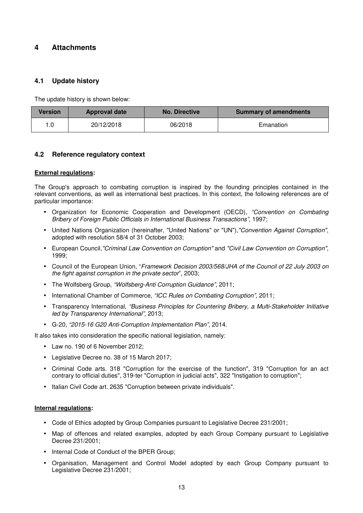# **4 Attachments**

## **4.1 Update history**

The update history is shown below:

| <b>Version</b> | <b>Approval date</b> | <b>No. Directive</b> | <b>Summary of amendments</b> |
|----------------|----------------------|----------------------|------------------------------|
| .0             | 20/12/2018           | 06/2018              | Emanation                    |

## **4.2 Reference regulatory context**

#### **External regulations:**

The Group's approach to combating corruption is inspired by the founding principles contained in the relevant conventions, as well as international best practices. In this context, the following references are of particular importance:

- Organization for Economic Cooperation and Development (OECD), "Convention on Combating Bribery of Foreign Public Officials in International Business Transactions", 1997;
- United Nations Organization (hereinafter, "United Nations" or "UN"), "Convention Against Corruption", adopted with resolution 58/4 of 31 October 2003;
- European Council,"Criminal Law Convention on Corruption" and "Civil Law Convention on Corruption", 1999;
- Council of the European Union, "Framework Decision 2003/568/JHA of the Council of 22 July 2003 on the fight against corruption in the private sector", 2003;
- The Wolfsberg Group, "Wolfsberg-Anti Corruption Guidance", 2011;
- International Chamber of Commerce, "ICC Rules on Combating Corruption", 2011;
- Transparency International, "Business Principles for Countering Bribery, a Multi-Stakeholder Initiative led by Transparency International", 2013;
- G-20, "2015-16 G20 Anti-Corruption Implementation Plan", 2014.

It also takes into consideration the specific national legislation, namely:

- Law no. 190 of 6 November 2012;
- Legislative Decree no. 38 of 15 March 2017;
- Criminal Code arts. 318 "Corruption for the exercise of the function", 319 "Corruption for an act contrary to official duties", 319-ter "Corruption in judicial acts", 322 "Instigation to corruption";
- Italian Civil Code art. 2635 "Corruption between private individuals".

#### **Internal regulations:**

- Code of Ethics adopted by Group Companies pursuant to Legislative Decree 231/2001;
- Map of offences and related examples, adopted by each Group Company pursuant to Legislative Decree 231/2001;
- Internal Code of Conduct of the BPER Group;
- Organisation, Management and Control Model adopted by each Group Company pursuant to Legislative Decree 231/2001;